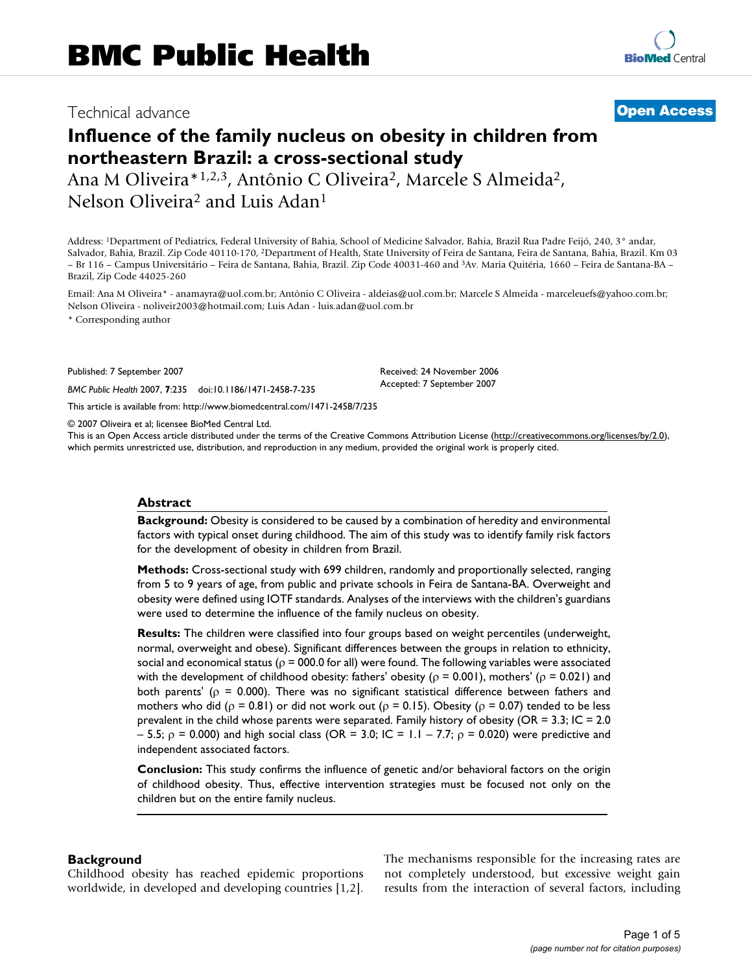# Technical advance **[Open Access](http://www.biomedcentral.com/info/about/charter/)**

# **Influence of the family nucleus on obesity in children from northeastern Brazil: a cross-sectional study**

Ana M Oliveira\*1,2,3, Antônio C Oliveira2, Marcele S Almeida2, Nelson Oliveira2 and Luis Adan1

Address: 1Department of Pediatrics, Federal University of Bahia, School of Medicine Salvador, Bahia, Brazil Rua Padre Feijó, 240, 3° andar, Salvador, Bahia, Brazil. Zip Code 40110-170, 2Department of Health, State University of Feira de Santana, Feira de Santana, Bahia, Brazil. Km 03 – Br 116 – Campus Universitário – Feira de Santana, Bahia, Brazil. Zip Code 40031-460 and 3Av. Maria Quitéria, 1660 – Feira de Santana-BA – Brazil, Zip Code 44025-260

Email: Ana M Oliveira\* - anamayra@uol.com.br; Antônio C Oliveira - aldeias@uol.com.br; Marcele S Almeida - marceleuefs@yahoo.com.br; Nelson Oliveira - noliveir2003@hotmail.com; Luis Adan - luis.adan@uol.com.br

> Received: 24 November 2006 Accepted: 7 September 2007

\* Corresponding author

Published: 7 September 2007

*BMC Public Health* 2007, **7**:235 doi:10.1186/1471-2458-7-235

[This article is available from: http://www.biomedcentral.com/1471-2458/7/235](http://www.biomedcentral.com/1471-2458/7/235)

© 2007 Oliveira et al; licensee BioMed Central Ltd.

This is an Open Access article distributed under the terms of the Creative Commons Attribution License [\(http://creativecommons.org/licenses/by/2.0\)](http://creativecommons.org/licenses/by/2.0), which permits unrestricted use, distribution, and reproduction in any medium, provided the original work is properly cited.

#### **Abstract**

**Background:** Obesity is considered to be caused by a combination of heredity and environmental factors with typical onset during childhood. The aim of this study was to identify family risk factors for the development of obesity in children from Brazil.

**Methods:** Cross-sectional study with 699 children, randomly and proportionally selected, ranging from 5 to 9 years of age, from public and private schools in Feira de Santana-BA. Overweight and obesity were defined using IOTF standards. Analyses of the interviews with the children's guardians were used to determine the influence of the family nucleus on obesity.

**Results:** The children were classified into four groups based on weight percentiles (underweight, normal, overweight and obese). Significant differences between the groups in relation to ethnicity, social and economical status ( $\rho$  = 000.0 for all) were found. The following variables were associated with the development of childhood obesity: fathers' obesity ( $\rho = 0.001$ ), mothers' ( $\rho = 0.021$ ) and both parents' ( $p = 0.000$ ). There was no significant statistical difference between fathers and mothers who did ( $ρ = 0.81$ ) or did not work out ( $ρ = 0.15$ ). Obesity ( $ρ = 0.07$ ) tended to be less prevalent in the child whose parents were separated. Family history of obesity (OR = 3.3; IC = 2.0 – 5.5;  $ρ = 0.000$ ) and high social class (OR = 3.0; IC = 1.1 – 7.7;  $ρ = 0.020$ ) were predictive and independent associated factors.

**Conclusion:** This study confirms the influence of genetic and/or behavioral factors on the origin of childhood obesity. Thus, effective intervention strategies must be focused not only on the children but on the entire family nucleus.

## **Background**

Childhood obesity has reached epidemic proportions worldwide, in developed and developing countries [1,2]. The mechanisms responsible for the increasing rates are not completely understood, but excessive weight gain results from the interaction of several factors, including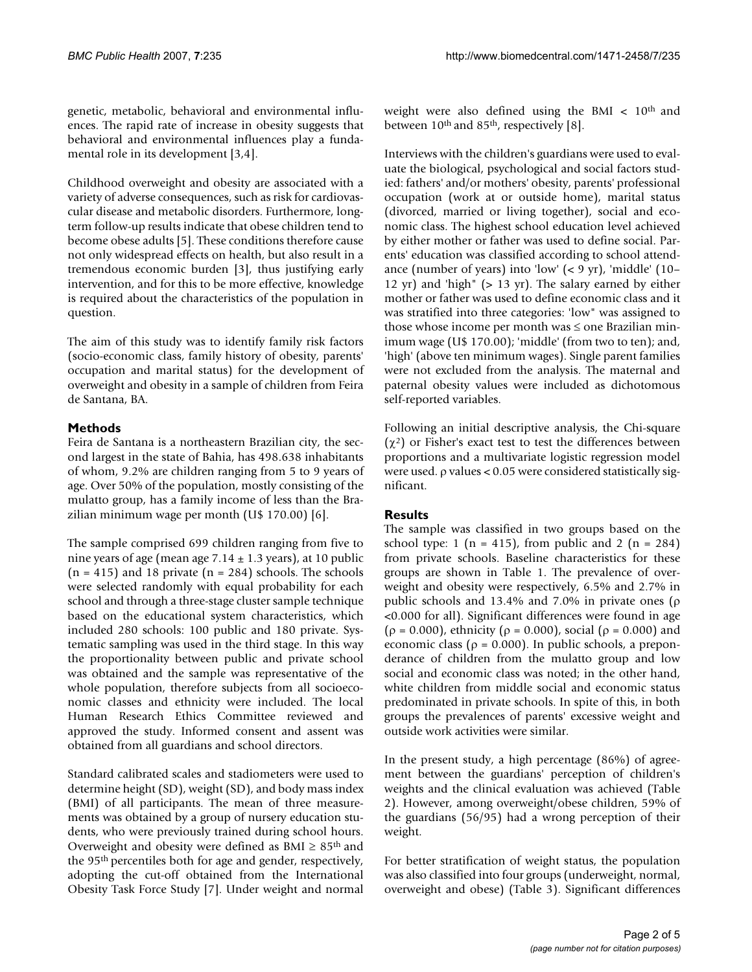genetic, metabolic, behavioral and environmental influences. The rapid rate of increase in obesity suggests that behavioral and environmental influences play a fundamental role in its development [3,4].

Childhood overweight and obesity are associated with a variety of adverse consequences, such as risk for cardiovascular disease and metabolic disorders. Furthermore, longterm follow-up results indicate that obese children tend to become obese adults [5]. These conditions therefore cause not only widespread effects on health, but also result in a tremendous economic burden [3], thus justifying early intervention, and for this to be more effective, knowledge is required about the characteristics of the population in question.

The aim of this study was to identify family risk factors (socio-economic class, family history of obesity, parents' occupation and marital status) for the development of overweight and obesity in a sample of children from Feira de Santana, BA.

# **Methods**

Feira de Santana is a northeastern Brazilian city, the second largest in the state of Bahia, has 498.638 inhabitants of whom, 9.2% are children ranging from 5 to 9 years of age. Over 50% of the population, mostly consisting of the mulatto group, has a family income of less than the Brazilian minimum wage per month (U\$ 170.00) [6].

The sample comprised 699 children ranging from five to nine years of age (mean age  $7.14 \pm 1.3$  years), at 10 public  $(n = 415)$  and 18 private  $(n = 284)$  schools. The schools were selected randomly with equal probability for each school and through a three-stage cluster sample technique based on the educational system characteristics, which included 280 schools: 100 public and 180 private. Systematic sampling was used in the third stage. In this way the proportionality between public and private school was obtained and the sample was representative of the whole population, therefore subjects from all socioeconomic classes and ethnicity were included. The local Human Research Ethics Committee reviewed and approved the study. Informed consent and assent was obtained from all guardians and school directors.

Standard calibrated scales and stadiometers were used to determine height (SD), weight (SD), and body mass index (BMI) of all participants. The mean of three measurements was obtained by a group of nursery education students, who were previously trained during school hours. Overweight and obesity were defined as  $BMI \geq 85$ <sup>th</sup> and the 95th percentiles both for age and gender, respectively, adopting the cut-off obtained from the International Obesity Task Force Study [7]. Under weight and normal

weight were also defined using the BMI  $< 10<sup>th</sup>$  and between 10<sup>th</sup> and 85<sup>th</sup>, respectively [8].

Interviews with the children's guardians were used to evaluate the biological, psychological and social factors studied: fathers' and/or mothers' obesity, parents' professional occupation (work at or outside home), marital status (divorced, married or living together), social and economic class. The highest school education level achieved by either mother or father was used to define social. Parents' education was classified according to school attendance (number of years) into 'low'  $(< 9 \text{ yr})$ , 'middle' (10– 12 yr) and 'high" (> 13 yr). The salary earned by either mother or father was used to define economic class and it was stratified into three categories: 'low" was assigned to those whose income per month was ≤ one Brazilian minimum wage (U\$ 170.00); 'middle' (from two to ten); and, 'high' (above ten minimum wages). Single parent families were not excluded from the analysis. The maternal and paternal obesity values were included as dichotomous self-reported variables.

Following an initial descriptive analysis, the Chi-square  $(χ<sup>2</sup>)$  or Fisher's exact test to test the differences between proportions and a multivariate logistic regression model were used. ρ values < 0.05 were considered statistically significant.

# **Results**

The sample was classified in two groups based on the school type: 1 (n = 415), from public and 2 (n = 284) from private schools. Baseline characteristics for these groups are shown in Table 1. The prevalence of overweight and obesity were respectively, 6.5% and 2.7% in public schools and 13.4% and 7.0% in private ones (ρ <0.000 for all). Significant differences were found in age ( $\rho = 0.000$ ), ethnicity ( $\rho = 0.000$ ), social ( $\rho = 0.000$ ) and economic class ( $\rho = 0.000$ ). In public schools, a preponderance of children from the mulatto group and low social and economic class was noted; in the other hand, white children from middle social and economic status predominated in private schools. In spite of this, in both groups the prevalences of parents' excessive weight and outside work activities were similar.

In the present study, a high percentage (86%) of agreement between the guardians' perception of children's weights and the clinical evaluation was achieved (Table 2). However, among overweight/obese children, 59% of the guardians (56/95) had a wrong perception of their weight.

For better stratification of weight status, the population was also classified into four groups (underweight, normal, overweight and obese) (Table 3). Significant differences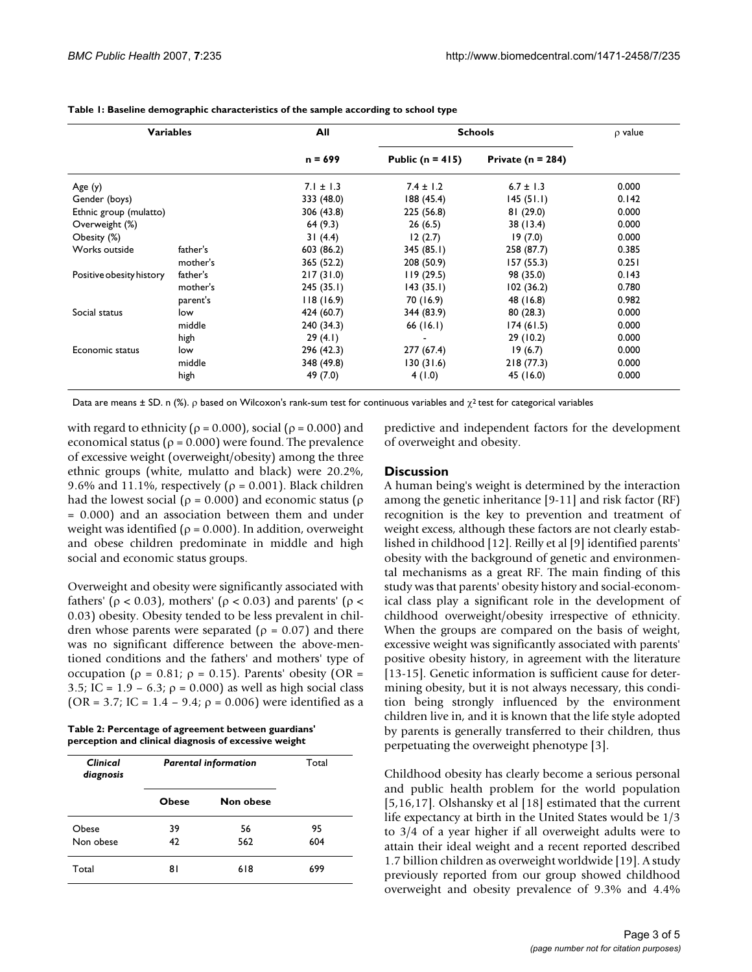| <b>Variables</b>         |          | All           | <b>Schools</b>       |                       | $\rho$ value |
|--------------------------|----------|---------------|----------------------|-----------------------|--------------|
|                          |          | $n = 699$     | Public ( $n = 415$ ) | Private ( $n = 284$ ) |              |
| Age(y)                   |          | $7.1 \pm 1.3$ | $7.4 \pm 1.2$        | $6.7 \pm 1.3$         | 0.000        |
| Gender (boys)            |          | 333 (48.0)    | 188(45.4)            | 145(51.1)             | 0.142        |
| Ethnic group (mulatto)   |          | 306 (43.8)    | 225 (56.8)           | 81(29.0)              | 0.000        |
| Overweight (%)           |          | 64(9.3)       | 26(6.5)              | 38 (13.4)             | 0.000        |
| Obesity (%)              |          | 31(4.4)       | 12(2.7)              | 19(7.0)               | 0.000        |
| Works outside            | father's | 603 (86.2)    | 345(85.1)            | 258 (87.7)            | 0.385        |
|                          | mother's | 365 (52.2)    | 208 (50.9)           | 157(55.3)             | 0.251        |
| Positive obesity history | father's | 217(31.0)     | 119(29.5)            | 98 (35.0)             | 0.143        |
|                          | mother's | 245(35.1)     | 143(35.1)            | 102(36.2)             | 0.780        |
|                          | parent's | 118(16.9)     | 70 (16.9)            | 48 (16.8)             | 0.982        |
| Social status            | low      | 424 (60.7)    | 344 (83.9)           | 80(28.3)              | 0.000        |
|                          | middle   | 240 (34.3)    | 66(16.1)             | 174(61.5)             | 0.000        |
|                          | high     | 29(4.1)       |                      | 29(10.2)              | 0.000        |
| Economic status          | low      | 296 (42.3)    | 277 (67.4)           | 19(6.7)               | 0.000        |
|                          | middle   | 348 (49.8)    | 130 (31.6)           | 218(77.3)             | 0.000        |
|                          | high     | 49 (7.0)      | 4(1.0)               | 45 (16.0)             | 0.000        |

#### **Table 1: Baseline demographic characteristics of the sample according to school type**

Data are means  $\pm$  SD. n (%).  $\rho$  based on Wilcoxon's rank-sum test for continuous variables and  $\chi^2$  test for categorical variables

with regard to ethnicity ( $\rho = 0.000$ ), social ( $\rho = 0.000$ ) and economical status ( $\rho$  = 0.000) were found. The prevalence of excessive weight (overweight/obesity) among the three ethnic groups (white, mulatto and black) were 20.2%, 9.6% and 11.1%, respectively ( $\rho = 0.001$ ). Black children had the lowest social ( $\rho = 0.000$ ) and economic status ( $\rho$ = 0.000) and an association between them and under weight was identified ( $\rho = 0.000$ ). In addition, overweight and obese children predominate in middle and high social and economic status groups.

Overweight and obesity were significantly associated with fathers' (ρ < 0.03), mothers' (ρ < 0.03) and parents' (ρ < 0.03) obesity. Obesity tended to be less prevalent in children whose parents were separated ( $\rho = 0.07$ ) and there was no significant difference between the above-mentioned conditions and the fathers' and mothers' type of occupation ( $ρ = 0.81$ ;  $ρ = 0.15$ ). Parents' obesity (OR = 3.5; IC =  $1.9 - 6.3$ ;  $\rho = 0.000$ ) as well as high social class (OR = 3.7; IC = 1.4 – 9.4;  $\rho$  = 0.006) were identified as a

**Table 2: Percentage of agreement between guardians' perception and clinical diagnosis of excessive weight**

| Clinical<br>diagnosis | <b>Parental information</b> | Total     |     |
|-----------------------|-----------------------------|-----------|-----|
|                       | <b>Obese</b>                | Non obese |     |
| Obese                 | 39                          | 56        | 95  |
| Non obese             | 42                          | 562       | 604 |
| Total                 | 81                          | 618       | 699 |

predictive and independent factors for the development of overweight and obesity.

#### **Discussion**

A human being's weight is determined by the interaction among the genetic inheritance [9-11] and risk factor (RF) recognition is the key to prevention and treatment of weight excess, although these factors are not clearly established in childhood [12]. Reilly et al [9] identified parents' obesity with the background of genetic and environmental mechanisms as a great RF. The main finding of this study was that parents' obesity history and social-economical class play a significant role in the development of childhood overweight/obesity irrespective of ethnicity. When the groups are compared on the basis of weight, excessive weight was significantly associated with parents' positive obesity history, in agreement with the literature [13-15]. Genetic information is sufficient cause for determining obesity, but it is not always necessary, this condition being strongly influenced by the environment children live in, and it is known that the life style adopted by parents is generally transferred to their children, thus perpetuating the overweight phenotype [3].

Childhood obesity has clearly become a serious personal and public health problem for the world population [5,16,17]. Olshansky et al [18] estimated that the current life expectancy at birth in the United States would be 1/3 to 3/4 of a year higher if all overweight adults were to attain their ideal weight and a recent reported described 1.7 billion children as overweight worldwide [19]. A study previously reported from our group showed childhood overweight and obesity prevalence of 9.3% and 4.4%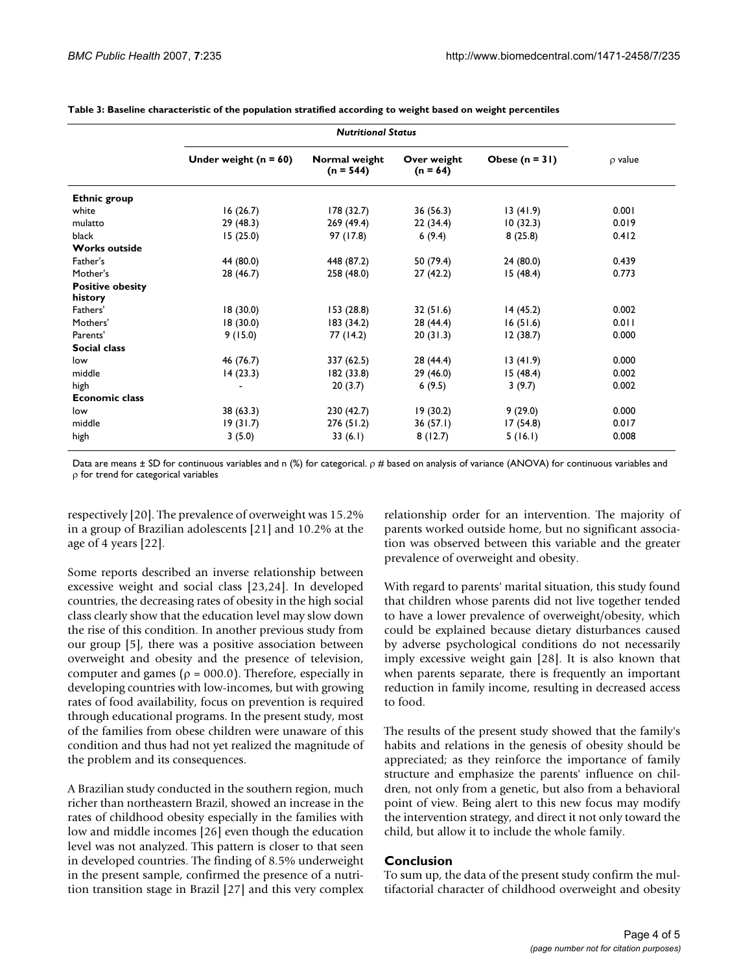|                         | Under weight $(n = 60)$ | Normal weight<br>$(n = 544)$ | Over weight<br>$(n = 64)$ | Obese $(n = 31)$ | $\rho$ value |
|-------------------------|-------------------------|------------------------------|---------------------------|------------------|--------------|
| <b>Ethnic group</b>     |                         |                              |                           |                  |              |
| white                   | 16(26.7)                | 178(32.7)                    | 36(56.3)                  | 13(41.9)         | 0.001        |
| mulatto                 | 29(48.3)                | 269(49.4)                    | 22(34.4)                  | 10(32.3)         | 0.019        |
| black                   | 15(25.0)                | 97 (17.8)                    | 6(9.4)                    | 8(25.8)          | 0.412        |
| <b>Works outside</b>    |                         |                              |                           |                  |              |
| Father's                | 44 (80.0)               | 448 (87.2)                   | 50 (79.4)                 | 24(80.0)         | 0.439        |
| Mother's                | 28 (46.7)               | 258 (48.0)                   | 27(42.2)                  | 15(48.4)         | 0.773        |
| <b>Positive obesity</b> |                         |                              |                           |                  |              |
| history                 |                         |                              |                           |                  |              |
| Fathers'                | 18(30.0)                | 153(28.8)                    | 32(51.6)                  | 14(45.2)         | 0.002        |
| Mothers'                | 18(30.0)                | 183 (34.2)                   | 28 (44.4)                 | 16(51.6)         | 0.011        |
| Parents'                | 9(15.0)                 | 77 (14.2)                    | 20(31.3)                  | 12(38.7)         | 0.000        |
| <b>Social class</b>     |                         |                              |                           |                  |              |
| low                     | 46 (76.7)               | 337 (62.5)                   | 28 (44.4)                 | 13(41.9)         | 0.000        |
| middle                  | 14(23.3)                | 182 (33.8)                   | 29 (46.0)                 | 15(48.4)         | 0.002        |
| high                    |                         | 20(3.7)                      | 6(9.5)                    | 3(9.7)           | 0.002        |
| <b>Economic class</b>   |                         |                              |                           |                  |              |
| low                     | 38 (63.3)               | 230(42.7)                    | 19(30.2)                  | 9(29.0)          | 0.000        |
| middle                  | 19(31.7)                | 276 (51.2)                   | 36(57.1)                  | 17(54.8)         | 0.017        |
| high                    | 3(5.0)                  | 33(6.1)                      | 8(12.7)                   | 5(16.1)          | 0.008        |

**Table 3: Baseline characteristic of the population stratified according to weight based on weight percentiles**

Data are means ± SD for continuous variables and n (%) for categorical. ρ # based on analysis of variance (ANOVA) for continuous variables and ρ for trend for categorical variables

respectively [20]. The prevalence of overweight was 15.2% in a group of Brazilian adolescents [21] and 10.2% at the age of 4 years [22].

Some reports described an inverse relationship between excessive weight and social class [23,24]. In developed countries, the decreasing rates of obesity in the high social class clearly show that the education level may slow down the rise of this condition. In another previous study from our group [5], there was a positive association between overweight and obesity and the presence of television, computer and games ( $\rho = 000.0$ ). Therefore, especially in developing countries with low-incomes, but with growing rates of food availability, focus on prevention is required through educational programs. In the present study, most of the families from obese children were unaware of this condition and thus had not yet realized the magnitude of the problem and its consequences.

A Brazilian study conducted in the southern region, much richer than northeastern Brazil, showed an increase in the rates of childhood obesity especially in the families with low and middle incomes [26] even though the education level was not analyzed. This pattern is closer to that seen in developed countries. The finding of 8.5% underweight in the present sample, confirmed the presence of a nutrition transition stage in Brazil [27] and this very complex relationship order for an intervention. The majority of parents worked outside home, but no significant association was observed between this variable and the greater prevalence of overweight and obesity.

With regard to parents' marital situation, this study found that children whose parents did not live together tended to have a lower prevalence of overweight/obesity, which could be explained because dietary disturbances caused by adverse psychological conditions do not necessarily imply excessive weight gain [28]. It is also known that when parents separate, there is frequently an important reduction in family income, resulting in decreased access to food.

The results of the present study showed that the family's habits and relations in the genesis of obesity should be appreciated; as they reinforce the importance of family structure and emphasize the parents' influence on children, not only from a genetic, but also from a behavioral point of view. Being alert to this new focus may modify the intervention strategy, and direct it not only toward the child, but allow it to include the whole family.

#### **Conclusion**

To sum up, the data of the present study confirm the multifactorial character of childhood overweight and obesity